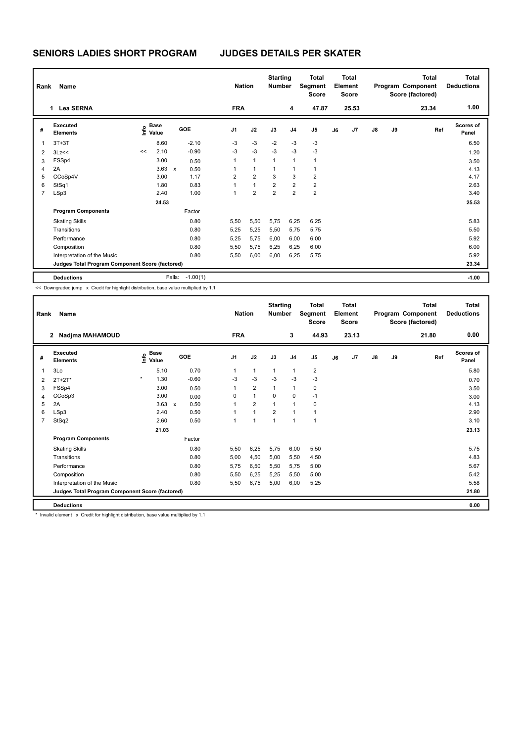## **SENIORS LADIES SHORT PROGRAM JUDGES DETAILS PER SKATER**

| Name<br>Rank |                                                 |                                  |      |                      |                | <b>Nation</b>  |                | <b>Starting</b><br><b>Number</b> | <b>Total</b><br>Segment<br><b>Score</b> | Total<br>Element<br><b>Score</b> |       | <b>Total</b><br>Program Component<br>Score (factored) |    |       | Total<br><b>Deductions</b> |
|--------------|-------------------------------------------------|----------------------------------|------|----------------------|----------------|----------------|----------------|----------------------------------|-----------------------------------------|----------------------------------|-------|-------------------------------------------------------|----|-------|----------------------------|
|              | <b>Lea SERNA</b><br>$\mathbf 1$                 |                                  |      |                      | <b>FRA</b>     |                |                | 4                                | 47.87                                   |                                  | 25.53 |                                                       |    | 23.34 | 1.00                       |
| #            | Executed<br><b>Elements</b>                     | <b>Base</b><br>o Base<br>⊆ Value |      | GOE                  | J1             | J2             | J3             | J <sub>4</sub>                   | J <sub>5</sub>                          | J6                               | J7    | J8                                                    | J9 | Ref   | <b>Scores of</b><br>Panel  |
| 1            | $3T+3T$                                         |                                  | 8.60 | $-2.10$              | $-3$           | $-3$           | $-2$           | $-3$                             | $-3$                                    |                                  |       |                                                       |    |       | 6.50                       |
| 2            | 3Lz<<                                           | <<                               | 2.10 | $-0.90$              | $-3$           | $-3$           | $-3$           | $-3$                             | $-3$                                    |                                  |       |                                                       |    |       | 1.20                       |
| 3            | FSSp4                                           |                                  | 3.00 | 0.50                 | $\mathbf{1}$   | $\mathbf{1}$   | $\mathbf{1}$   | 1                                | $\mathbf{1}$                            |                                  |       |                                                       |    |       | 3.50                       |
| 4            | 2A                                              |                                  | 3.63 | $\mathsf{x}$<br>0.50 | 1              | $\mathbf{1}$   | 1              |                                  | 1                                       |                                  |       |                                                       |    |       | 4.13                       |
| 5            | CCoSp4V                                         |                                  | 3.00 | 1.17                 | $\overline{2}$ | $\overline{2}$ | 3              | 3                                | $\overline{2}$                          |                                  |       |                                                       |    |       | 4.17                       |
| 6            | StSq1                                           |                                  | 1.80 | 0.83                 | 1              | $\mathbf{1}$   | $\overline{2}$ | $\overline{2}$                   | $\overline{2}$                          |                                  |       |                                                       |    |       | 2.63                       |
| 7            | LSp3                                            |                                  | 2.40 | 1.00                 | 1              | $\overline{2}$ | $\overline{2}$ | $\overline{2}$                   | $\overline{2}$                          |                                  |       |                                                       |    |       | 3.40                       |
|              | 24.53                                           |                                  |      |                      |                |                |                |                                  |                                         |                                  |       |                                                       |    |       | 25.53                      |
|              | <b>Program Components</b>                       |                                  |      | Factor               |                |                |                |                                  |                                         |                                  |       |                                                       |    |       |                            |
|              | <b>Skating Skills</b>                           |                                  |      | 0.80                 | 5,50           | 5,50           | 5,75           | 6,25                             | 6,25                                    |                                  |       |                                                       |    |       | 5.83                       |
|              | Transitions                                     |                                  |      | 0.80                 | 5,25           | 5,25           | 5,50           | 5,75                             | 5,75                                    |                                  |       |                                                       |    |       | 5.50                       |
|              | Performance                                     |                                  |      | 0.80                 | 5,25           | 5,75           | 6,00           | 6,00                             | 6,00                                    |                                  |       |                                                       |    |       | 5.92                       |
|              | Composition                                     |                                  |      | 0.80                 | 5,50           | 5,75           | 6,25           | 6,25                             | 6,00                                    |                                  |       |                                                       |    |       | 6.00                       |
|              | Interpretation of the Music                     |                                  |      | 0.80                 | 5,50           | 6,00           | 6,00           | 6,25                             | 5,75                                    |                                  |       |                                                       |    |       | 5.92                       |
|              | Judges Total Program Component Score (factored) |                                  |      |                      |                |                |                |                                  |                                         |                                  |       |                                                       |    |       | 23.34                      |
|              | <b>Deductions</b>                               |                                  |      | $-1.00(1)$<br>Falls: |                |                |                |                                  |                                         |                                  |       |                                                       |    |       | $-1.00$                    |

<< Downgraded jump x Credit for highlight distribution, base value multiplied by 1.1

| Rank           | Name                                            |                                  | <b>Nation</b>        |                | <b>Starting</b><br><b>Number</b> | <b>Total</b><br>Segment<br><b>Score</b> | <b>Total</b><br>Element<br><b>Score</b> |                | Program Component<br>Score (factored) |       | <b>Total</b>  | Total<br><b>Deductions</b> |       |                           |
|----------------|-------------------------------------------------|----------------------------------|----------------------|----------------|----------------------------------|-----------------------------------------|-----------------------------------------|----------------|---------------------------------------|-------|---------------|----------------------------|-------|---------------------------|
|                | Nadjma MAHAMOUD<br>$\mathbf{2}$                 |                                  |                      | <b>FRA</b>     |                                  |                                         | 3                                       | 44.93          |                                       | 23.13 |               |                            | 21.80 | 0.00                      |
| #              | Executed<br><b>Elements</b>                     | <b>Base</b><br>e Base<br>E Value | GOE                  | J <sub>1</sub> | J2                               | J3                                      | J <sub>4</sub>                          | J <sub>5</sub> | J6                                    | J7    | $\mathsf{J}8$ | J9                         | Ref   | <b>Scores of</b><br>Panel |
| 1              | 3Lo                                             | 5.10                             | 0.70                 | $\overline{1}$ | $\mathbf{1}$                     | $\mathbf{1}$                            | $\overline{1}$                          | $\overline{2}$ |                                       |       |               |                            |       | 5.80                      |
| $\overline{2}$ | $2T+2T^*$                                       | $\star$<br>1.30                  | $-0.60$              | $-3$           | $-3$                             | $-3$                                    | $-3$                                    | $-3$           |                                       |       |               |                            |       | 0.70                      |
| 3              | FSSp4                                           | 3.00                             | 0.50                 | 1              | $\overline{2}$                   | $\mathbf{1}$                            | $\mathbf{1}$                            | 0              |                                       |       |               |                            |       | 3.50                      |
| 4              | CCoSp3                                          | 3.00                             | 0.00                 | $\Omega$       | $\mathbf{1}$                     | $\Omega$                                | $\mathbf 0$                             | $-1$           |                                       |       |               |                            |       | 3.00                      |
| 5              | 2A                                              | 3.63                             | 0.50<br>$\mathbf{x}$ |                | $\overline{2}$                   | 1                                       | $\overline{1}$                          | 0              |                                       |       |               |                            |       | 4.13                      |
| 6              | LSp3                                            | 2.40                             | 0.50                 |                | $\mathbf{1}$                     | $\overline{2}$                          | $\overline{1}$                          | $\mathbf{1}$   |                                       |       |               |                            |       | 2.90                      |
| $\overline{7}$ | StSq2                                           | 2.60                             | 0.50                 | 1              | $\overline{1}$                   | $\overline{1}$                          | $\overline{1}$                          | 1              |                                       |       |               |                            |       | 3.10                      |
|                |                                                 |                                  |                      |                |                                  |                                         |                                         |                |                                       |       |               | 23.13                      |       |                           |
|                | <b>Program Components</b>                       |                                  | Factor               |                |                                  |                                         |                                         |                |                                       |       |               |                            |       |                           |
|                | <b>Skating Skills</b>                           |                                  | 0.80                 | 5,50           | 6,25                             | 5,75                                    | 6,00                                    | 5,50           |                                       |       |               |                            |       | 5.75                      |
|                | Transitions                                     |                                  | 0.80                 | 5,00           | 4,50                             | 5,00                                    | 5,50                                    | 4,50           |                                       |       |               |                            |       | 4.83                      |
|                | Performance                                     |                                  | 0.80                 | 5,75           | 6,50                             | 5,50                                    | 5,75                                    | 5,00           |                                       |       |               |                            |       | 5.67                      |
|                | Composition                                     |                                  | 0.80                 | 5,50           | 6,25                             | 5,25                                    | 5,50                                    | 5,00           |                                       |       |               |                            |       | 5.42                      |
|                | Interpretation of the Music                     |                                  | 0.80                 | 5,50           | 6,75                             | 5,00                                    | 6,00                                    | 5,25           |                                       |       |               |                            |       | 5.58                      |
|                | Judges Total Program Component Score (factored) |                                  |                      |                |                                  |                                         |                                         |                |                                       |       |               |                            |       | 21.80                     |
|                | <b>Deductions</b>                               |                                  |                      |                |                                  |                                         |                                         |                |                                       |       |               |                            |       | 0.00                      |

\* Invalid element x Credit for highlight distribution, base value multiplied by 1.1